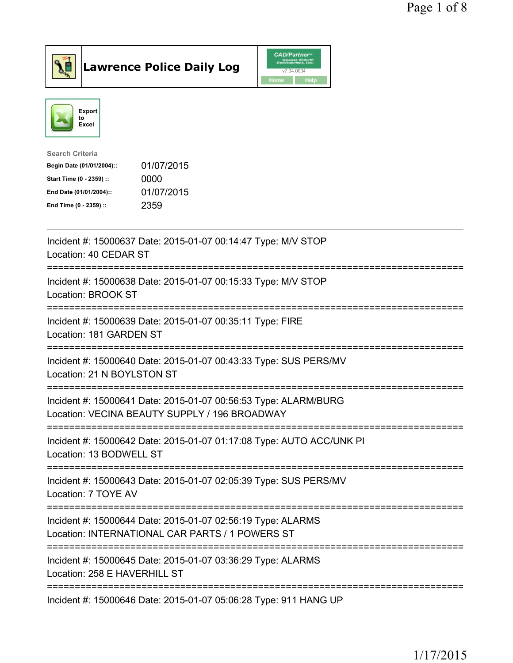



| <b>Search Criteria</b>    |            |
|---------------------------|------------|
| Begin Date (01/01/2004):: | 01/07/2015 |
| Start Time (0 - 2359) ::  | 0000       |
| End Date (01/01/2004)::   | 01/07/2015 |
| End Time (0 - 2359) ::    | 2359       |
|                           |            |

| Incident #: 15000637 Date: 2015-01-07 00:14:47 Type: M/V STOP<br>Location: 40 CEDAR ST                                                 |
|----------------------------------------------------------------------------------------------------------------------------------------|
| Incident #: 15000638 Date: 2015-01-07 00:15:33 Type: M/V STOP<br>Location: BROOK ST                                                    |
| Incident #: 15000639 Date: 2015-01-07 00:35:11 Type: FIRE<br>Location: 181 GARDEN ST                                                   |
| Incident #: 15000640 Date: 2015-01-07 00:43:33 Type: SUS PERS/MV<br>Location: 21 N BOYLSTON ST<br>--------------                       |
| Incident #: 15000641 Date: 2015-01-07 00:56:53 Type: ALARM/BURG<br>Location: VECINA BEAUTY SUPPLY / 196 BROADWAY<br>------------------ |
| Incident #: 15000642 Date: 2015-01-07 01:17:08 Type: AUTO ACC/UNK PI<br>Location: 13 BODWELL ST                                        |
| Incident #: 15000643 Date: 2015-01-07 02:05:39 Type: SUS PERS/MV<br>Location: 7 TOYE AV                                                |
| Incident #: 15000644 Date: 2015-01-07 02:56:19 Type: ALARMS<br>Location: INTERNATIONAL CAR PARTS / 1 POWERS ST                         |
| -------------<br>Incident #: 15000645 Date: 2015-01-07 03:36:29 Type: ALARMS<br>Location: 258 E HAVERHILL ST                           |
| Incident #: 15000646 Date: 2015-01-07 05:06:28 Type: 911 HANG UP                                                                       |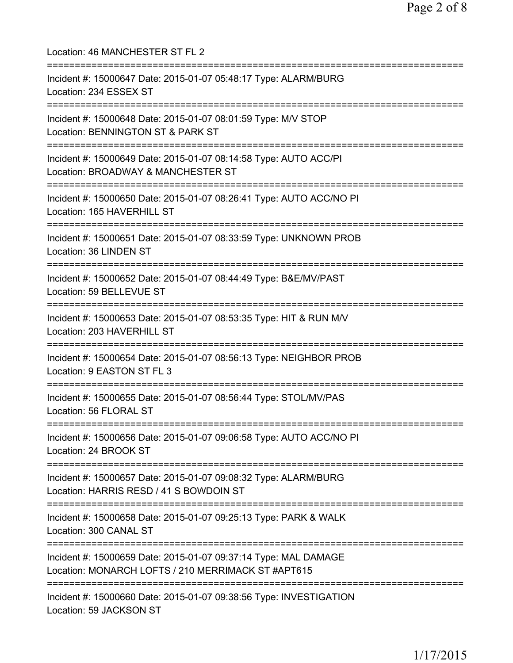Location: 46 MANCHESTER ST FL 2 =========================================================================== Incident #: 15000647 Date: 2015-01-07 05:48:17 Type: ALARM/BURG Location: 234 ESSEX ST =========================================================================== Incident #: 15000648 Date: 2015-01-07 08:01:59 Type: M/V STOP Location: BENNINGTON ST & PARK ST =========================================================================== Incident #: 15000649 Date: 2015-01-07 08:14:58 Type: AUTO ACC/PI Location: BROADWAY & MANCHESTER ST =========================================================================== Incident #: 15000650 Date: 2015-01-07 08:26:41 Type: AUTO ACC/NO PI Location: 165 HAVERHILL ST =========================================================================== Incident #: 15000651 Date: 2015-01-07 08:33:59 Type: UNKNOWN PROB Location: 36 LINDEN ST =========================================================================== Incident #: 15000652 Date: 2015-01-07 08:44:49 Type: B&E/MV/PAST Location: 59 BELLEVUE ST =========================================================================== Incident #: 15000653 Date: 2015-01-07 08:53:35 Type: HIT & RUN M/V Location: 203 HAVERHILL ST =========================================================================== Incident #: 15000654 Date: 2015-01-07 08:56:13 Type: NEIGHBOR PROB Location: 9 EASTON ST FL 3 =========================================================================== Incident #: 15000655 Date: 2015-01-07 08:56:44 Type: STOL/MV/PAS Location: 56 FLORAL ST =========================================================================== Incident #: 15000656 Date: 2015-01-07 09:06:58 Type: AUTO ACC/NO PI Location: 24 BROOK ST =========================================================================== Incident #: 15000657 Date: 2015-01-07 09:08:32 Type: ALARM/BURG Location: HARRIS RESD / 41 S BOWDOIN ST =========================================================================== Incident #: 15000658 Date: 2015-01-07 09:25:13 Type: PARK & WALK Location: 300 CANAL ST =========================================================================== Incident #: 15000659 Date: 2015-01-07 09:37:14 Type: MAL DAMAGE Location: MONARCH LOFTS / 210 MERRIMACK ST #APT615 =========================================================================== Incident #: 15000660 Date: 2015-01-07 09:38:56 Type: INVESTIGATION Location: 59 JACKSON ST

1/17/2015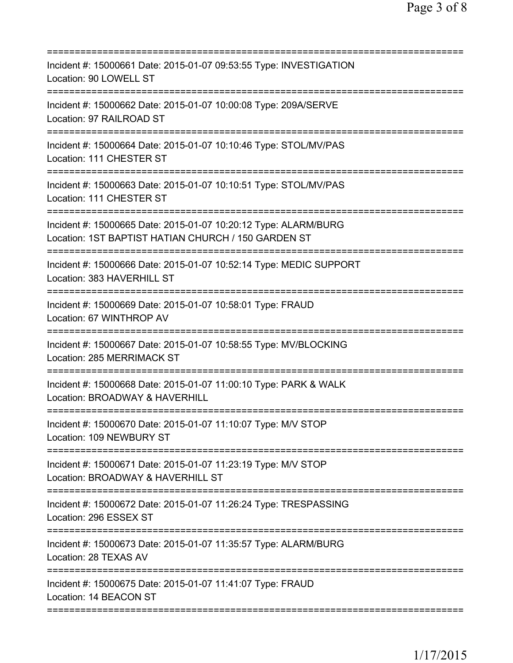| Incident #: 15000661 Date: 2015-01-07 09:53:55 Type: INVESTIGATION<br>Location: 90 LOWELL ST                           |
|------------------------------------------------------------------------------------------------------------------------|
| Incident #: 15000662 Date: 2015-01-07 10:00:08 Type: 209A/SERVE<br>Location: 97 RAILROAD ST                            |
| Incident #: 15000664 Date: 2015-01-07 10:10:46 Type: STOL/MV/PAS<br>Location: 111 CHESTER ST                           |
| Incident #: 15000663 Date: 2015-01-07 10:10:51 Type: STOL/MV/PAS<br>Location: 111 CHESTER ST                           |
| Incident #: 15000665 Date: 2015-01-07 10:20:12 Type: ALARM/BURG<br>Location: 1ST BAPTIST HATIAN CHURCH / 150 GARDEN ST |
| Incident #: 15000666 Date: 2015-01-07 10:52:14 Type: MEDIC SUPPORT<br>Location: 383 HAVERHILL ST                       |
| Incident #: 15000669 Date: 2015-01-07 10:58:01 Type: FRAUD<br>Location: 67 WINTHROP AV                                 |
| Incident #: 15000667 Date: 2015-01-07 10:58:55 Type: MV/BLOCKING<br>Location: 285 MERRIMACK ST                         |
| Incident #: 15000668 Date: 2015-01-07 11:00:10 Type: PARK & WALK<br>Location: BROADWAY & HAVERHILL                     |
| Incident #: 15000670 Date: 2015-01-07 11:10:07 Type: M/V STOP<br>Location: 109 NEWBURY ST                              |
| Incident #: 15000671 Date: 2015-01-07 11:23:19 Type: M/V STOP<br>Location: BROADWAY & HAVERHILL ST                     |
| Incident #: 15000672 Date: 2015-01-07 11:26:24 Type: TRESPASSING<br>Location: 296 ESSEX ST                             |
| Incident #: 15000673 Date: 2015-01-07 11:35:57 Type: ALARM/BURG<br>Location: 28 TEXAS AV                               |
| Incident #: 15000675 Date: 2015-01-07 11:41:07 Type: FRAUD<br>Location: 14 BEACON ST                                   |
|                                                                                                                        |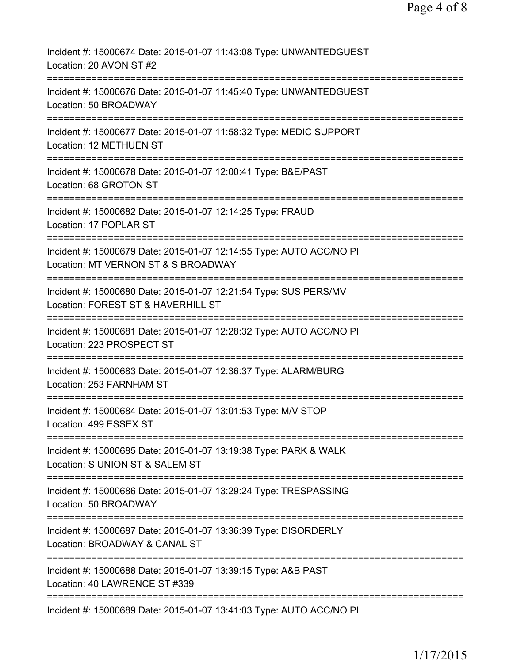| Incident #: 15000674 Date: 2015-01-07 11:43:08 Type: UNWANTEDGUEST<br>Location: 20 AVON ST #2                                                                        |
|----------------------------------------------------------------------------------------------------------------------------------------------------------------------|
| Incident #: 15000676 Date: 2015-01-07 11:45:40 Type: UNWANTEDGUEST<br>Location: 50 BROADWAY                                                                          |
| Incident #: 15000677 Date: 2015-01-07 11:58:32 Type: MEDIC SUPPORT<br>Location: 12 METHUEN ST                                                                        |
| Incident #: 15000678 Date: 2015-01-07 12:00:41 Type: B&E/PAST<br>Location: 68 GROTON ST                                                                              |
| Incident #: 15000682 Date: 2015-01-07 12:14:25 Type: FRAUD<br>Location: 17 POPLAR ST                                                                                 |
| Incident #: 15000679 Date: 2015-01-07 12:14:55 Type: AUTO ACC/NO PI<br>Location: MT VERNON ST & S BROADWAY                                                           |
| Incident #: 15000680 Date: 2015-01-07 12:21:54 Type: SUS PERS/MV<br>Location: FOREST ST & HAVERHILL ST                                                               |
| Incident #: 15000681 Date: 2015-01-07 12:28:32 Type: AUTO ACC/NO PI<br>Location: 223 PROSPECT ST                                                                     |
| Incident #: 15000683 Date: 2015-01-07 12:36:37 Type: ALARM/BURG<br>Location: 253 FARNHAM ST                                                                          |
| Incident #: 15000684 Date: 2015-01-07 13:01:53 Type: M/V STOP<br>Location: 499 ESSEX ST                                                                              |
| :=============================<br>===========================<br>Incident #: 15000685 Date: 2015-01-07 13:19:38 Type: PARK & WALK<br>Location: S UNION ST & SALEM ST |
| =======================<br>Incident #: 15000686 Date: 2015-01-07 13:29:24 Type: TRESPASSING<br>Location: 50 BROADWAY                                                 |
| Incident #: 15000687 Date: 2015-01-07 13:36:39 Type: DISORDERLY<br>Location: BROADWAY & CANAL ST                                                                     |
| Incident #: 15000688 Date: 2015-01-07 13:39:15 Type: A&B PAST<br>Location: 40 LAWRENCE ST #339                                                                       |
| Incident #: 15000689 Date: 2015-01-07 13:41:03 Type: AUTO ACC/NO PI                                                                                                  |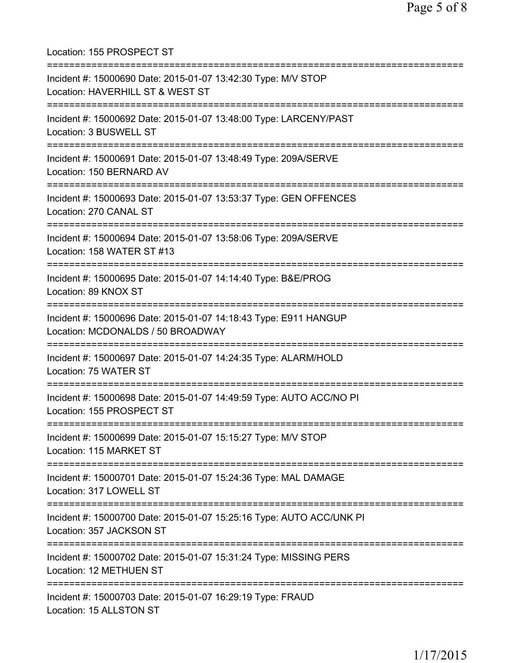Location: 155 PROSPECT ST =========================================================================== Incident #: 15000690 Date: 2015-01-07 13:42:30 Type: M/V STOP Location: HAVERHILL ST & WEST ST =========================================================================== Incident #: 15000692 Date: 2015-01-07 13:48:00 Type: LARCENY/PAST Location: 3 BUSWELL ST =========================================================================== Incident #: 15000691 Date: 2015-01-07 13:48:49 Type: 209A/SERVE Location: 150 BERNARD AV =========================================================================== Incident #: 15000693 Date: 2015-01-07 13:53:37 Type: GEN OFFENCES Location: 270 CANAL ST =========================================================================== Incident #: 15000694 Date: 2015-01-07 13:58:06 Type: 209A/SERVE Location: 158 WATER ST #13 =========================================================================== Incident #: 15000695 Date: 2015-01-07 14:14:40 Type: B&E/PROG Location: 89 KNOX ST =========================================================================== Incident #: 15000696 Date: 2015-01-07 14:18:43 Type: E911 HANGUP Location: MCDONALDS / 50 BROADWAY =========================================================================== Incident #: 15000697 Date: 2015-01-07 14:24:35 Type: ALARM/HOLD Location: 75 WATER ST =========================================================================== Incident #: 15000698 Date: 2015-01-07 14:49:59 Type: AUTO ACC/NO PI Location: 155 PROSPECT ST =========================================================================== Incident #: 15000699 Date: 2015-01-07 15:15:27 Type: M/V STOP Location: 115 MARKET ST =========================================================================== Incident #: 15000701 Date: 2015-01-07 15:24:36 Type: MAL DAMAGE Location: 317 LOWELL ST =========================================================================== Incident #: 15000700 Date: 2015-01-07 15:25:16 Type: AUTO ACC/UNK PI Location: 357 JACKSON ST =========================================================================== Incident #: 15000702 Date: 2015-01-07 15:31:24 Type: MISSING PERS Location: 12 METHUEN ST =========================================================================== Incident #: 15000703 Date: 2015-01-07 16:29:19 Type: FRAUD Location: 15 ALLSTON ST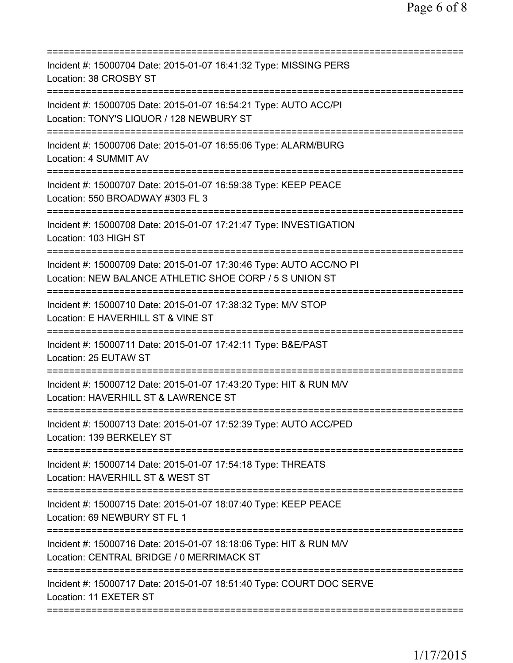| Incident #: 15000704 Date: 2015-01-07 16:41:32 Type: MISSING PERS<br>Location: 38 CROSBY ST                                        |
|------------------------------------------------------------------------------------------------------------------------------------|
| Incident #: 15000705 Date: 2015-01-07 16:54:21 Type: AUTO ACC/PI<br>Location: TONY'S LIQUOR / 128 NEWBURY ST                       |
| Incident #: 15000706 Date: 2015-01-07 16:55:06 Type: ALARM/BURG<br>Location: 4 SUMMIT AV                                           |
| Incident #: 15000707 Date: 2015-01-07 16:59:38 Type: KEEP PEACE<br>Location: 550 BROADWAY #303 FL 3<br>======================      |
| Incident #: 15000708 Date: 2015-01-07 17:21:47 Type: INVESTIGATION<br>Location: 103 HIGH ST                                        |
| Incident #: 15000709 Date: 2015-01-07 17:30:46 Type: AUTO ACC/NO PI<br>Location: NEW BALANCE ATHLETIC SHOE CORP / 5 S UNION ST     |
| Incident #: 15000710 Date: 2015-01-07 17:38:32 Type: M/V STOP<br>Location: E HAVERHILL ST & VINE ST<br>=========================== |
| Incident #: 15000711 Date: 2015-01-07 17:42:11 Type: B&E/PAST<br>Location: 25 EUTAW ST                                             |
| Incident #: 15000712 Date: 2015-01-07 17:43:20 Type: HIT & RUN M/V<br>Location: HAVERHILL ST & LAWRENCE ST                         |
| Incident #: 15000713 Date: 2015-01-07 17:52:39 Type: AUTO ACC/PED<br>Location: 139 BERKELEY ST                                     |
| Incident #: 15000714 Date: 2015-01-07 17:54:18 Type: THREATS<br>Location: HAVERHILL ST & WEST ST                                   |
| Incident #: 15000715 Date: 2015-01-07 18:07:40 Type: KEEP PEACE<br>Location: 69 NEWBURY ST FL 1                                    |
| Incident #: 15000716 Date: 2015-01-07 18:18:06 Type: HIT & RUN M/V<br>Location: CENTRAL BRIDGE / 0 MERRIMACK ST                    |
| Incident #: 15000717 Date: 2015-01-07 18:51:40 Type: COURT DOC SERVE<br>Location: 11 EXETER ST                                     |
|                                                                                                                                    |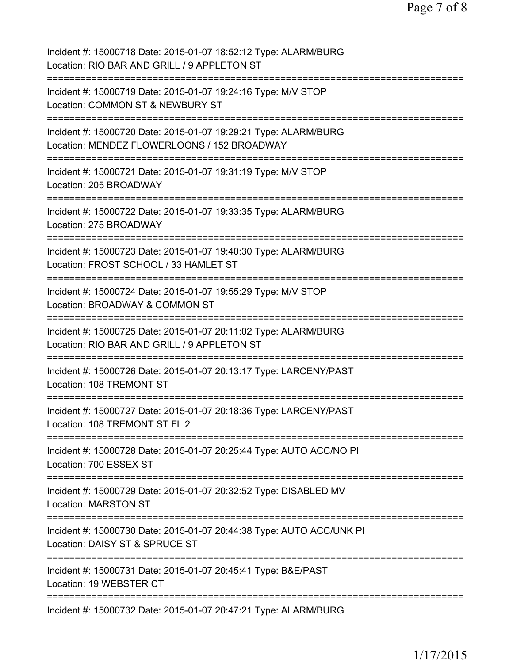| Incident #: 15000718 Date: 2015-01-07 18:52:12 Type: ALARM/BURG<br>Location: RIO BAR AND GRILL / 9 APPLETON ST         |
|------------------------------------------------------------------------------------------------------------------------|
| Incident #: 15000719 Date: 2015-01-07 19:24:16 Type: M/V STOP<br>Location: COMMON ST & NEWBURY ST                      |
| Incident #: 15000720 Date: 2015-01-07 19:29:21 Type: ALARM/BURG<br>Location: MENDEZ FLOWERLOONS / 152 BROADWAY         |
| .=========================<br>Incident #: 15000721 Date: 2015-01-07 19:31:19 Type: M/V STOP<br>Location: 205 BROADWAY  |
| Incident #: 15000722 Date: 2015-01-07 19:33:35 Type: ALARM/BURG<br>Location: 275 BROADWAY                              |
| Incident #: 15000723 Date: 2015-01-07 19:40:30 Type: ALARM/BURG<br>Location: FROST SCHOOL / 33 HAMLET ST               |
| Incident #: 15000724 Date: 2015-01-07 19:55:29 Type: M/V STOP<br>Location: BROADWAY & COMMON ST                        |
| Incident #: 15000725 Date: 2015-01-07 20:11:02 Type: ALARM/BURG<br>Location: RIO BAR AND GRILL / 9 APPLETON ST         |
| Incident #: 15000726 Date: 2015-01-07 20:13:17 Type: LARCENY/PAST<br>Location: 108 TREMONT ST                          |
| Incident #: 15000727 Date: 2015-01-07 20:18:36 Type: LARCENY/PAST<br>Location: 108 TREMONT ST FL 2                     |
| =====================<br>Incident #: 15000728 Date: 2015-01-07 20:25:44 Type: AUTO ACC/NO PI<br>Location: 700 ESSEX ST |
| Incident #: 15000729 Date: 2015-01-07 20:32:52 Type: DISABLED MV<br><b>Location: MARSTON ST</b>                        |
| Incident #: 15000730 Date: 2015-01-07 20:44:38 Type: AUTO ACC/UNK PI<br>Location: DAISY ST & SPRUCE ST                 |
| Incident #: 15000731 Date: 2015-01-07 20:45:41 Type: B&E/PAST<br>Location: 19 WEBSTER CT                               |
| Incident #: 15000732 Date: 2015-01-07 20:47:21 Type: ALARM/BURG                                                        |